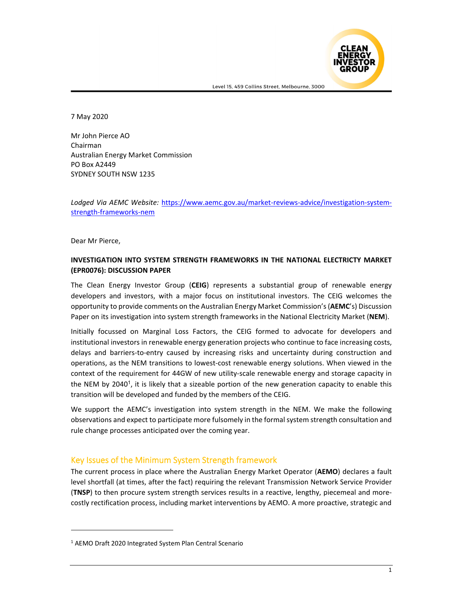

7 May 2020

Mr John Pierce AO Chairman Australian Energy Market Commission PO Box A2449 SYDNEY SOUTH NSW 1235

*Lodged Via AEMC Website:* https://www.aemc.gov.au/market‐reviews‐advice/investigation‐system‐ strength‐frameworks‐nem

Dear Mr Pierce,

#### **INVESTIGATION INTO SYSTEM STRENGTH FRAMEWORKS IN THE NATIONAL ELECTRICTY MARKET (EPR0076): DISCUSSION PAPER**

The Clean Energy Investor Group (**CEIG**) represents a substantial group of renewable energy developers and investors, with a major focus on institutional investors. The CEIG welcomes the opportunity to provide comments on the Australian Energy Market Commission's(**AEMC**'s) Discussion Paper on its investigation into system strength frameworks in the National Electricity Market (**NEM**).

Initially focussed on Marginal Loss Factors, the CEIG formed to advocate for developers and institutional investors in renewable energy generation projects who continue to face increasing costs, delays and barriers‐to‐entry caused by increasing risks and uncertainty during construction and operations, as the NEM transitions to lowest‐cost renewable energy solutions. When viewed in the context of the requirement for 44GW of new utility-scale renewable energy and storage capacity in the NEM by 2040<sup>1</sup>, it is likely that a sizeable portion of the new generation capacity to enable this transition will be developed and funded by the members of the CEIG.

We support the AEMC's investigation into system strength in the NEM. We make the following observations and expect to participate more fulsomely in the formal system strength consultation and rule change processes anticipated over the coming year.

### Key Issues of the Minimum System Strength framework

The current process in place where the Australian Energy Market Operator (**AEMO**) declares a fault level shortfall (at times, after the fact) requiring the relevant Transmission Network Service Provider (**TNSP**) to then procure system strength services results in a reactive, lengthy, piecemeal and more‐ costly rectification process, including market interventions by AEMO. A more proactive, strategic and

<sup>1</sup> AEMO Draft 2020 Integrated System Plan Central Scenario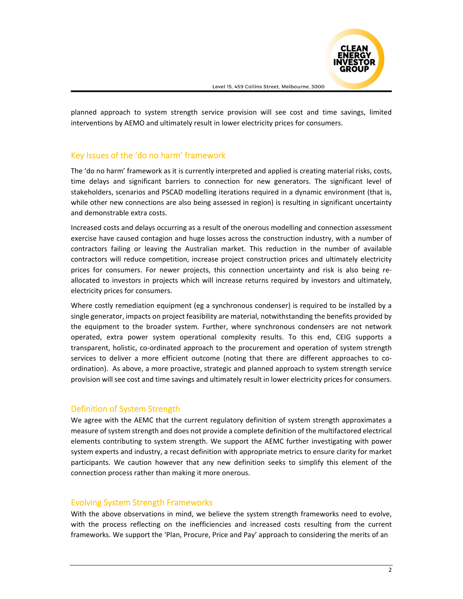

planned approach to system strength service provision will see cost and time savings, limited interventions by AEMO and ultimately result in lower electricity prices for consumers.

# Key Issues of the 'do no harm' framework

The 'do no harm' framework as it is currently interpreted and applied is creating material risks, costs, time delays and significant barriers to connection for new generators. The significant level of stakeholders, scenarios and PSCAD modelling iterations required in a dynamic environment (that is, while other new connections are also being assessed in region) is resulting in significant uncertainty and demonstrable extra costs.

Increased costs and delays occurring as a result of the onerous modelling and connection assessment exercise have caused contagion and huge losses across the construction industry, with a number of contractors failing or leaving the Australian market. This reduction in the number of available contractors will reduce competition, increase project construction prices and ultimately electricity prices for consumers. For newer projects, this connection uncertainty and risk is also being re‐ allocated to investors in projects which will increase returns required by investors and ultimately, electricity prices for consumers.

Where costly remediation equipment (eg a synchronous condenser) is required to be installed by a single generator, impacts on project feasibility are material, notwithstanding the benefits provided by the equipment to the broader system. Further, where synchronous condensers are not network operated, extra power system operational complexity results. To this end, CEIG supports a transparent, holistic, co-ordinated approach to the procurement and operation of system strength services to deliver a more efficient outcome (noting that there are different approaches to coordination). As above, a more proactive, strategic and planned approach to system strength service provision will see cost and time savings and ultimately result in lower electricity prices for consumers.

## Definition of System Strength

We agree with the AEMC that the current regulatory definition of system strength approximates a measure of system strength and does not provide a complete definition of the multifactored electrical elements contributing to system strength. We support the AEMC further investigating with power system experts and industry, a recast definition with appropriate metrics to ensure clarity for market participants. We caution however that any new definition seeks to simplify this element of the connection process rather than making it more onerous.

### Evolving System Strength Frameworks

With the above observations in mind, we believe the system strength frameworks need to evolve, with the process reflecting on the inefficiencies and increased costs resulting from the current frameworks. We support the 'Plan, Procure, Price and Pay' approach to considering the merits of an